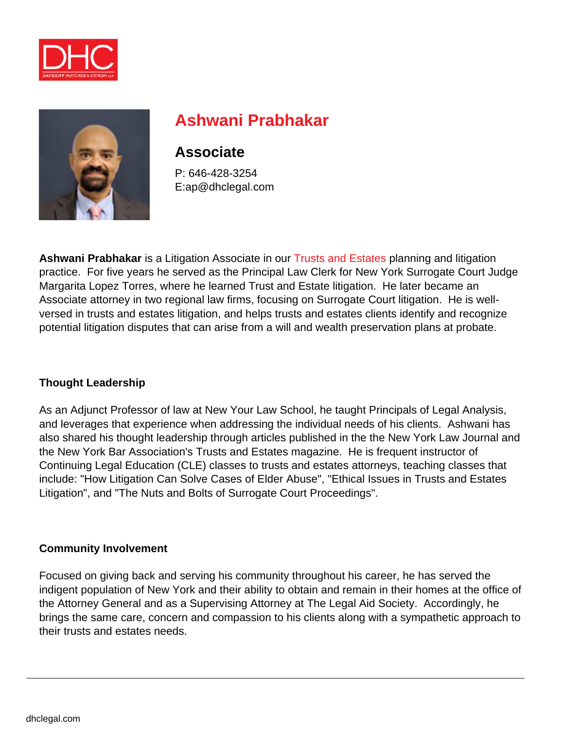



# **Ashwani Prabhakar**

## **Associate**

P: 646-428-3254 E:ap@dhclegal.com

**Ashwani Prabhakar** is a Litigation Associate in our [Trusts and Estates](https://dhclegal.com/law-practice-areas/trusts-estates-law/) planning and litigation practice. For five years he served as the Principal Law Clerk for New York Surrogate Court Judge Margarita Lopez Torres, where he learned Trust and Estate litigation. He later became an Associate attorney in two regional law firms, focusing on Surrogate Court litigation. He is wellversed in trusts and estates litigation, and helps trusts and estates clients identify and recognize potential litigation disputes that can arise from a will and wealth preservation plans at probate.

#### **Thought Leadership**

As an Adjunct Professor of law at New Your Law School, he taught Principals of Legal Analysis, and leverages that experience when addressing the individual needs of his clients. Ashwani has also shared his thought leadership through articles published in the the New York Law Journal and the New York Bar Association's Trusts and Estates magazine. He is frequent instructor of Continuing Legal Education (CLE) classes to trusts and estates attorneys, teaching classes that include: "How Litigation Can Solve Cases of Elder Abuse", "Ethical Issues in Trusts and Estates Litigation", and "The Nuts and Bolts of Surrogate Court Proceedings".

#### **Community Involvement**

Focused on giving back and serving his community throughout his career, he has served the indigent population of New York and their ability to obtain and remain in their homes at the office of the Attorney General and as a Supervising Attorney at The Legal Aid Society. Accordingly, he brings the same care, concern and compassion to his clients along with a sympathetic approach to their trusts and estates needs.